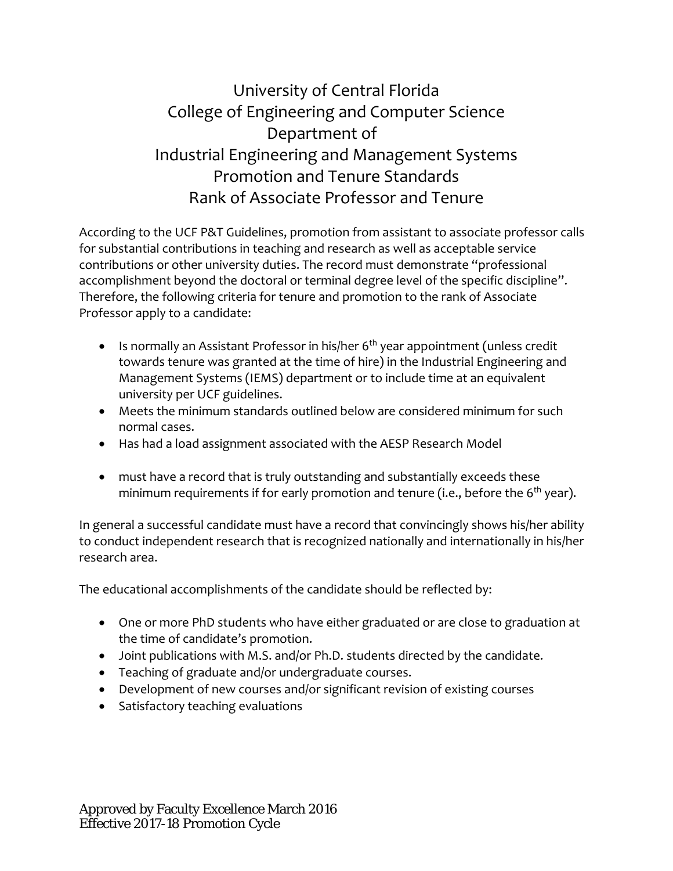## University of Central Florida College of Engineering and Computer Science Department of Industrial Engineering and Management Systems Promotion and Tenure Standards Rank of Associate Professor and Tenure

According to the UCF P&T Guidelines, promotion from assistant to associate professor calls for substantial contributions in teaching and research as well as acceptable service contributions or other university duties. The record must demonstrate "professional accomplishment beyond the doctoral or terminal degree level of the specific discipline". Therefore, the following criteria for tenure and promotion to the rank of Associate Professor apply to a candidate:

- Is normally an Assistant Professor in his/her  $6<sup>th</sup>$  year appointment (unless credit towards tenure was granted at the time of hire) in the Industrial Engineering and Management Systems (IEMS) department or to include time at an equivalent university per UCF guidelines.
- Meets the minimum standards outlined below are considered minimum for such normal cases.
- Has had a load assignment associated with the AESP Research Model
- must have a record that is truly outstanding and substantially exceeds these minimum requirements if for early promotion and tenure (i.e., before the 6<sup>th</sup> year).

In general a successful candidate must have a record that convincingly shows his/her ability to conduct independent research that is recognized nationally and internationally in his/her research area.

The educational accomplishments of the candidate should be reflected by:

- One or more PhD students who have either graduated or are close to graduation at the time of candidate's promotion.
- Joint publications with M.S. and/or Ph.D. students directed by the candidate.
- Teaching of graduate and/or undergraduate courses.
- Development of new courses and/or significant revision of existing courses
- Satisfactory teaching evaluations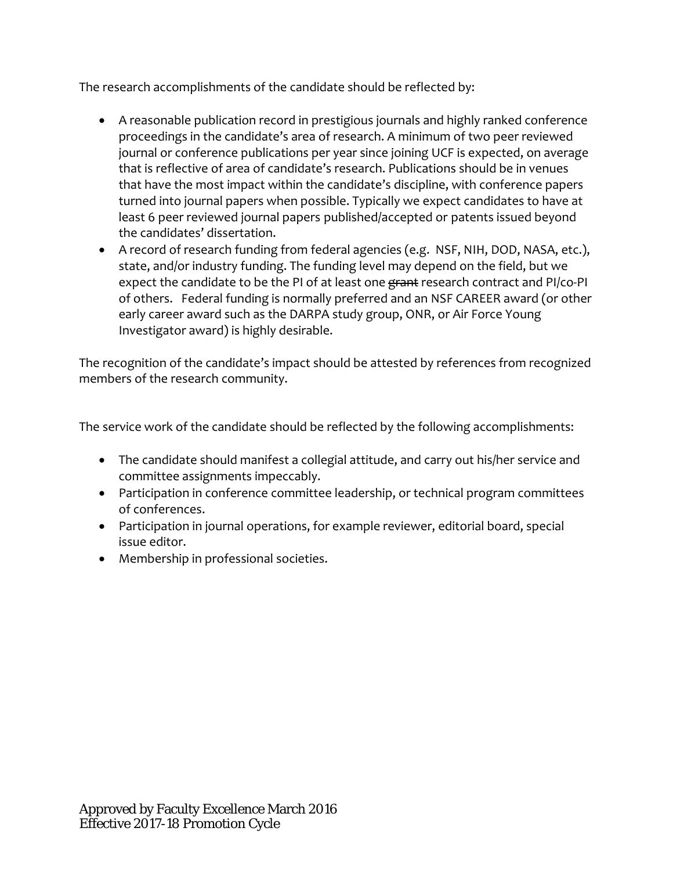The research accomplishments of the candidate should be reflected by:

- A reasonable publication record in prestigious journals and highly ranked conference proceedings in the candidate's area of research. A minimum of two peer reviewed journal or conference publications per year since joining UCF is expected, on average that is reflective of area of candidate's research. Publications should be in venues that have the most impact within the candidate's discipline, with conference papers turned into journal papers when possible. Typically we expect candidates to have at least 6 peer reviewed journal papers published/accepted or patents issued beyond the candidates' dissertation.
- A record of research funding from federal agencies (e.g. NSF, NIH, DOD, NASA, etc.), state, and/or industry funding. The funding level may depend on the field, but we expect the candidate to be the PI of at least one grant research contract and PI/co-PI of others. Federal funding is normally preferred and an NSF CAREER award (or other early career award such as the DARPA study group, ONR, or Air Force Young Investigator award) is highly desirable.

The recognition of the candidate's impact should be attested by references from recognized members of the research community.

The service work of the candidate should be reflected by the following accomplishments:

- The candidate should manifest a collegial attitude, and carry out his/her service and committee assignments impeccably.
- Participation in conference committee leadership, or technical program committees of conferences.
- Participation in journal operations, for example reviewer, editorial board, special issue editor.
- Membership in professional societies.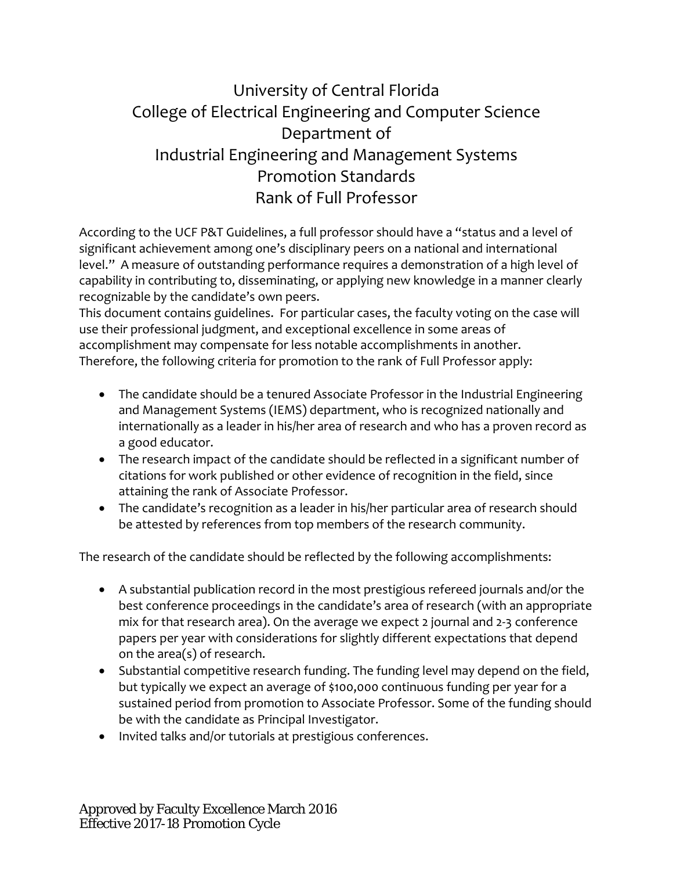## University of Central Florida College of Electrical Engineering and Computer Science Department of Industrial Engineering and Management Systems Promotion Standards Rank of Full Professor

According to the UCF P&T Guidelines, a full professor should have a "status and a level of significant achievement among one's disciplinary peers on a national and international level." A measure of outstanding performance requires a demonstration of a high level of capability in contributing to, disseminating, or applying new knowledge in a manner clearly recognizable by the candidate's own peers.

This document contains guidelines. For particular cases, the faculty voting on the case will use their professional judgment, and exceptional excellence in some areas of accomplishment may compensate for less notable accomplishments in another. Therefore, the following criteria for promotion to the rank of Full Professor apply:

- The candidate should be a tenured Associate Professor in the Industrial Engineering and Management Systems (IEMS) department, who is recognized nationally and internationally as a leader in his/her area of research and who has a proven record as a good educator.
- The research impact of the candidate should be reflected in a significant number of citations for work published or other evidence of recognition in the field, since attaining the rank of Associate Professor.
- The candidate's recognition as a leader in his/her particular area of research should be attested by references from top members of the research community.

The research of the candidate should be reflected by the following accomplishments:

- A substantial publication record in the most prestigious refereed journals and/or the best conference proceedings in the candidate's area of research (with an appropriate mix for that research area). On the average we expect 2 journal and 2‐3 conference papers per year with considerations for slightly different expectations that depend on the area(s) of research.
- Substantial competitive research funding. The funding level may depend on the field, but typically we expect an average of \$100,000 continuous funding per year for a sustained period from promotion to Associate Professor. Some of the funding should be with the candidate as Principal Investigator.
- Invited talks and/or tutorials at prestigious conferences.